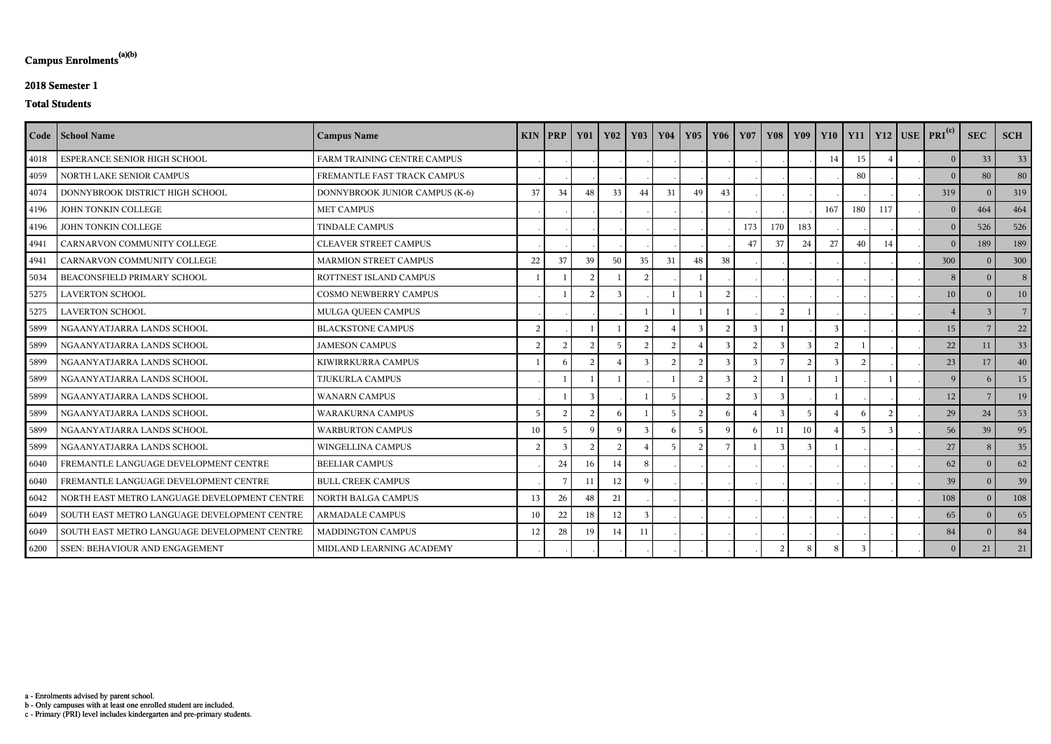c - Primary (PRI) level includes kindergarten and pre-primary students.

b - Only campuses with at least one enrolled student are included.

a - Enrolments advised by parent school.

## **Campus Enrolments(a)(b)**

### **2018 Semester 1**

### **Total Students**

|      | Code   School Name                           | <b>Campus Name</b>             |                | $KIN$ PRP     | $\vert$ Y01    | <b>Y02</b>    | <b>Y03</b>     | <b>Y04</b>     | Y05             | Y06           | <b>Y07</b>   |     |     |     |     |              | Y08   Y09   Y10   Y11   Y12   USE   PRI <sup>(c)</sup> | <b>SEC</b>     | <b>SCH</b>      |
|------|----------------------------------------------|--------------------------------|----------------|---------------|----------------|---------------|----------------|----------------|-----------------|---------------|--------------|-----|-----|-----|-----|--------------|--------------------------------------------------------|----------------|-----------------|
| 4018 | ESPERANCE SENIOR HIGH SCHOOL                 | FARM TRAINING CENTRE CAMPUS    |                |               |                |               |                |                |                 |               |              |     |     | 14  | 15  |              | $\overline{0}$                                         | 33             | 33              |
| 4059 | NORTH LAKE SENIOR CAMPUS                     | FREMANTLE FAST TRACK CAMPUS    |                |               |                |               |                |                |                 |               |              |     |     |     | 80  |              | $\theta$                                               | 80             | 80              |
| 4074 | DONNYBROOK DISTRICT HIGH SCHOOL              | DONNYBROOK JUNIOR CAMPUS (K-6) | 37             | 34            | 48             | 33            | 44             | 31             | 49              | 43            |              |     |     |     |     |              | 319                                                    | $\Omega$       | 319             |
| 4196 | JOHN TONKIN COLLEGE                          | <b>MET CAMPUS</b>              |                |               |                |               |                |                |                 |               |              |     |     | 167 | 180 | 117          | $\overline{0}$                                         | 464            | 464             |
| 4196 | JOHN TONKIN COLLEGE                          | <b>TINDALE CAMPUS</b>          |                |               |                |               |                |                |                 |               | 173          | 170 | 183 |     |     |              | $\overline{0}$                                         | 526            | 526             |
| 4941 | CARNARVON COMMUNITY COLLEGE                  | <b>CLEAVER STREET CAMPUS</b>   |                |               |                |               |                |                |                 |               | 47           | 37  | 24  | 27  | 40  | 14           | $\overline{0}$                                         | 189            | 189             |
| 4941 | CARNARVON COMMUNITY COLLEGE                  | <b>MARMION STREET CAMPUS</b>   | 22             | 37            | 39             | 50            | 35             | 31             | 48              | 38            |              |     |     |     |     |              | 300                                                    | $\overline{0}$ | 300             |
| 5034 | BEACONSFIELD PRIMARY SCHOOL                  | ROTTNEST ISLAND CAMPUS         |                |               | -2             |               | 2              |                |                 |               |              |     |     |     |     |              | 8                                                      | $\Omega$       | 8 <sup>1</sup>  |
| 5275 | <b>LAVERTON SCHOOL</b>                       | <b>COSMO NEWBERRY CAMPUS</b>   |                |               |                | $\mathcal{R}$ |                |                |                 | $\mathcal{I}$ |              |     |     |     |     |              | 10                                                     | $\Omega$       | 10 <sup>1</sup> |
| 5275 | <b>LAVERTON SCHOOL</b>                       | MULGA QUEEN CAMPUS             |                |               |                |               |                |                |                 |               |              |     |     |     |     |              | $\overline{4}$                                         |                | 7 <sup>1</sup>  |
| 5899 | NGAANYATJARRA LANDS SCHOOL                   | <b>BLACKSTONE CAMPUS</b>       | 2              |               |                |               | 2              |                |                 |               |              |     |     |     |     |              | 15                                                     |                | 22              |
| 5899 | NGAANYATJARRA LANDS SCHOOL                   | <b>JAMESON CAMPUS</b>          | $\overline{2}$ | $\mathcal{D}$ | $\overline{2}$ |               | $\overline{2}$ | $\overline{2}$ |                 | 3             |              |     |     |     |     |              | 22                                                     | 11             | 33              |
| 5899 | NGAANYATJARRA LANDS SCHOOL                   | KIWIRRKURRA CAMPUS             |                |               | $\mathcal{D}$  |               | $\mathcal{R}$  | $\mathcal{D}$  | $\mathcal{D}$   | $\mathcal{R}$ | $\mathbf{R}$ |     |     |     |     |              | 23                                                     | 17             | 40 <sup>°</sup> |
| 5899 | NGAANYATJARRA LANDS SCHOOL                   | TJUKURLA CAMPUS                |                |               |                |               |                |                |                 | $\mathbf{3}$  |              |     |     |     |     |              | 9                                                      | 6              | 15              |
| 5899 | NGAANYATJARRA LANDS SCHOOL                   | <b>WANARN CAMPUS</b>           |                |               | $\mathcal{R}$  |               |                | 5              |                 | 2             | $\mathbf{3}$ |     |     |     |     |              | 12                                                     |                | 19              |
| 5899 | NGAANYATJARRA LANDS SCHOOL                   | <b>WARAKURNA CAMPUS</b>        | 5              | $\mathcal{L}$ | $\overline{2}$ | -6            |                |                | 2               | $\mathsf{h}$  |              |     |     |     |     | 2            | 29                                                     | $24\,$         | 53              |
| 5899 | NGAANYATJARRA LANDS SCHOOL                   | <b>WARBURTON CAMPUS</b>        | 10             |               | <sup>Q</sup>   | <sup>Q</sup>  | 3              | 6              | $5\overline{5}$ | $\mathbf Q$   | $\mathsf{h}$ | 11  | 10  |     |     | $\mathbf{3}$ | 56                                                     | 39             | 95              |
| 5899 | NGAANYATJARRA LANDS SCHOOL                   | WINGELLINA CAMPUS              | $\overline{2}$ | $\mathcal{E}$ | $\overline{2}$ | 2             |                | 5              | $\overline{2}$  |               |              |     |     |     |     |              | 27                                                     | -8             | 35              |
| 6040 | FREMANTLE LANGUAGE DEVELOPMENT CENTRE        | <b>BEELIAR CAMPUS</b>          |                | 24            | 16             | 14            | -8             |                |                 |               |              |     |     |     |     |              | 62                                                     | $\Omega$       | 62              |
| 6040 | FREMANTLE LANGUAGE DEVELOPMENT CENTRE        | <b>BULL CREEK CAMPUS</b>       |                |               |                | 12            | Q              |                |                 |               |              |     |     |     |     |              | 39                                                     | $\Omega$       | 39              |
| 6042 | NORTH EAST METRO LANGUAGE DEVELOPMENT CENTRE | NORTH BALGA CAMPUS             | 13             | 26            | 48             | $21\,$        |                |                |                 |               |              |     |     |     |     |              | 108                                                    | $\Omega$       | 108             |
| 6049 | SOUTH EAST METRO LANGUAGE DEVELOPMENT CENTRE | ARMADALE CAMPUS                | 10             | 22            | 18             | 12            | $\mathcal{E}$  |                |                 |               |              |     |     |     |     |              | 65                                                     | $\Omega$       | 65              |
| 6049 | SOUTH EAST METRO LANGUAGE DEVELOPMENT CENTRE | <b>MADDINGTON CAMPUS</b>       | 12             | 28            | 19             | 14            | 11             |                |                 |               |              |     |     |     |     |              | 84                                                     | $\Omega$       | 84              |
| 6200 | SSEN: BEHAVIOUR AND ENGAGEMENT               | MIDLAND LEARNING ACADEMY       |                |               |                |               |                |                |                 |               |              |     |     |     |     |              | $\overline{0}$                                         | 21             | 21              |